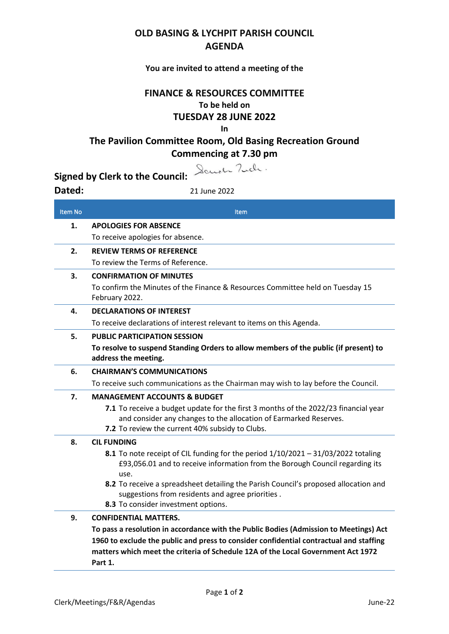## **OLD BASING & LYCHPIT PARISH COUNCIL AGENDA**

## **You are invited to attend a meeting of the**

## **FINANCE & RESOURCES COMMITTEE To be held on TUESDAY 28 JUNE 2022 In**

**The Pavilion Committee Room, Old Basing Recreation Ground Commencing at 7.30 pm**

Dander Tuch.

**Signed by Clerk to the Council:**

**Dated:** 21 June 2022

| Item No | <b>Item</b>                                                                                                                                                                 |
|---------|-----------------------------------------------------------------------------------------------------------------------------------------------------------------------------|
| 1.      | <b>APOLOGIES FOR ABSENCE</b>                                                                                                                                                |
|         | To receive apologies for absence.                                                                                                                                           |
| 2.      | <b>REVIEW TERMS OF REFERENCE</b>                                                                                                                                            |
|         | To review the Terms of Reference.                                                                                                                                           |
| 3.      | <b>CONFIRMATION OF MINUTES</b>                                                                                                                                              |
|         | To confirm the Minutes of the Finance & Resources Committee held on Tuesday 15<br>February 2022.                                                                            |
| 4.      | <b>DECLARATIONS OF INTEREST</b>                                                                                                                                             |
|         | To receive declarations of interest relevant to items on this Agenda.                                                                                                       |
| 5.      | <b>PUBLIC PARTICIPATION SESSION</b>                                                                                                                                         |
|         | To resolve to suspend Standing Orders to allow members of the public (if present) to<br>address the meeting.                                                                |
| 6.      | <b>CHAIRMAN'S COMMUNICATIONS</b>                                                                                                                                            |
|         | To receive such communications as the Chairman may wish to lay before the Council.                                                                                          |
| 7.      | <b>MANAGEMENT ACCOUNTS &amp; BUDGET</b>                                                                                                                                     |
|         | 7.1 To receive a budget update for the first 3 months of the 2022/23 financial year<br>and consider any changes to the allocation of Earmarked Reserves.                    |
|         | 7.2 To review the current 40% subsidy to Clubs.                                                                                                                             |
| 8.      | <b>CIL FUNDING</b>                                                                                                                                                          |
|         | 8.1 To note receipt of CIL funding for the period $1/10/2021 - 31/03/2022$ totaling<br>£93,056.01 and to receive information from the Borough Council regarding its<br>use. |
|         | 8.2 To receive a spreadsheet detailing the Parish Council's proposed allocation and<br>suggestions from residents and agree priorities.                                     |
|         | 8.3 To consider investment options.                                                                                                                                         |
| 9.      | <b>CONFIDENTIAL MATTERS.</b>                                                                                                                                                |
|         | To pass a resolution in accordance with the Public Bodies (Admission to Meetings) Act                                                                                       |
|         | 1960 to exclude the public and press to consider confidential contractual and staffing                                                                                      |
|         | matters which meet the criteria of Schedule 12A of the Local Government Act 1972                                                                                            |

**Part 1.**